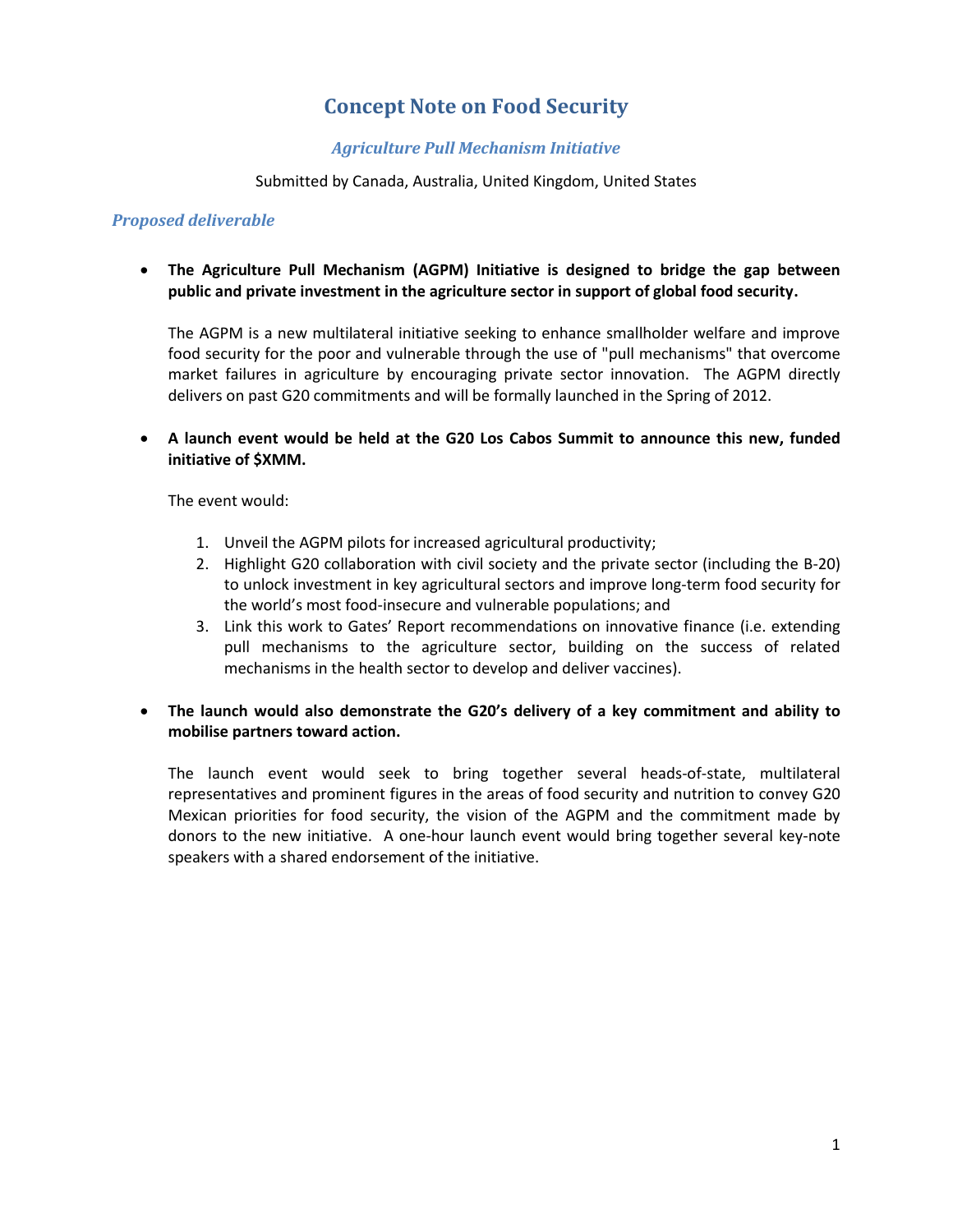# **Concept Note on Food Security**

# *Agriculture Pull Mechanism Initiative*

### Submitted by Canada, Australia, United Kingdom, United States

### *Proposed deliverable*

 **The Agriculture Pull Mechanism (AGPM) Initiative is designed to bridge the gap between public and private investment in the agriculture sector in support of global food security.** 

The AGPM is a new multilateral initiative seeking to enhance smallholder welfare and improve food security for the poor and vulnerable through the use of "pull mechanisms" that overcome market failures in agriculture by encouraging private sector innovation. The AGPM directly delivers on past G20 commitments and will be formally launched in the Spring of 2012.

 **A launch event would be held at the G20 Los Cabos Summit to announce this new, funded initiative of \$XMM.** 

The event would:

- 1. Unveil the AGPM pilots for increased agricultural productivity;
- 2. Highlight G20 collaboration with civil society and the private sector (including the B-20) to unlock investment in key agricultural sectors and improve long-term food security for the world's most food-insecure and vulnerable populations; and
- 3. Link this work to Gates' Report recommendations on innovative finance (i.e. extending pull mechanisms to the agriculture sector, building on the success of related mechanisms in the health sector to develop and deliver vaccines).
- **The launch would also demonstrate the G20's delivery of a key commitment and ability to mobilise partners toward action.**

The launch event would seek to bring together several heads-of-state, multilateral representatives and prominent figures in the areas of food security and nutrition to convey G20 Mexican priorities for food security, the vision of the AGPM and the commitment made by donors to the new initiative. A one-hour launch event would bring together several key-note speakers with a shared endorsement of the initiative.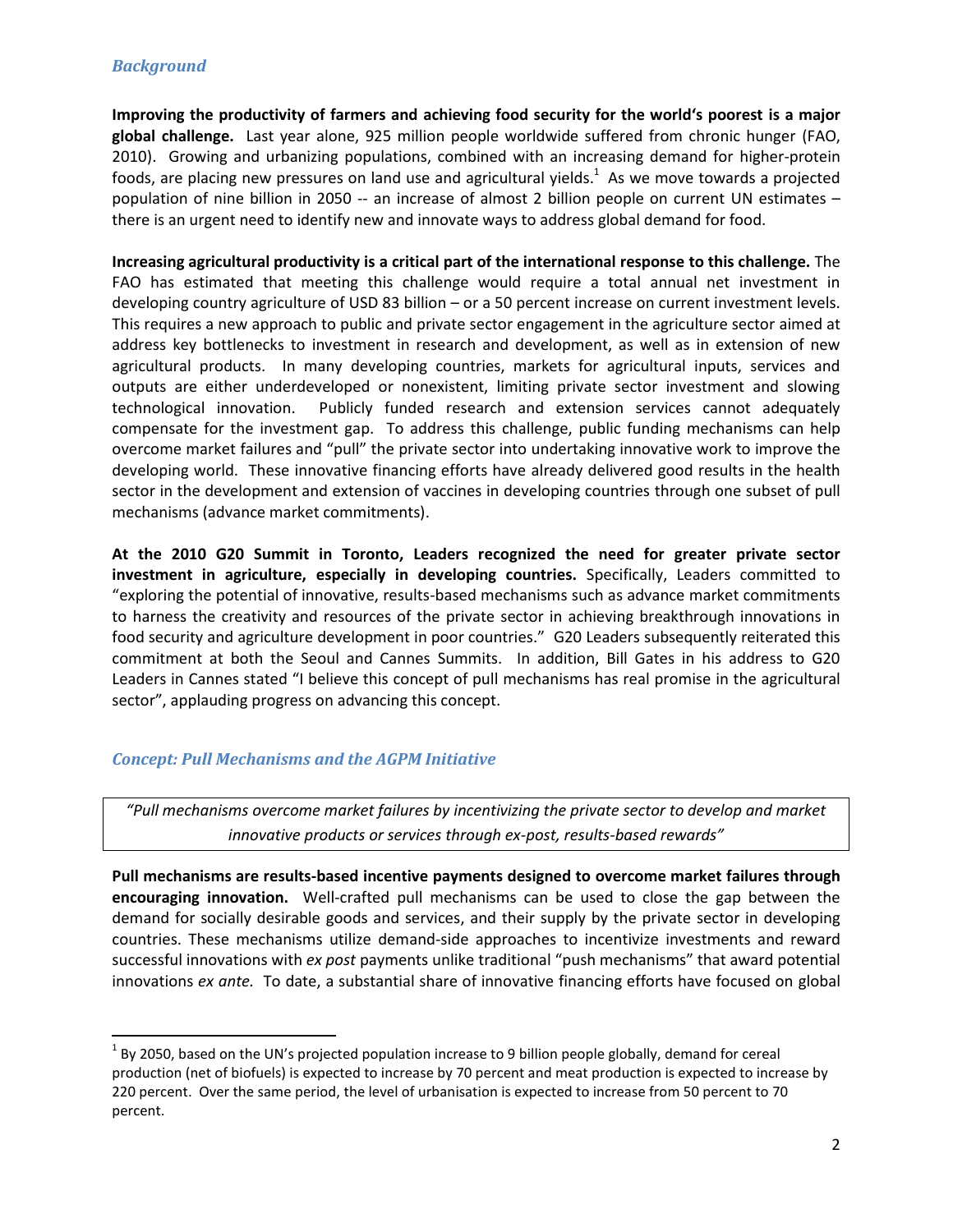### *Background*

 $\overline{a}$ 

**Improving the productivity of farmers and achieving food security for the world's poorest is a major global challenge.** Last year alone, 925 million people worldwide suffered from chronic hunger (FAO, 2010). Growing and urbanizing populations, combined with an increasing demand for higher-protein foods, are placing new pressures on land use and agricultural yields. $^1$  As we move towards a projected population of nine billion in 2050 -- an increase of almost 2 billion people on current UN estimates – there is an urgent need to identify new and innovate ways to address global demand for food.

**Increasing agricultural productivity is a critical part of the international response to this challenge.** The FAO has estimated that meeting this challenge would require a total annual net investment in developing country agriculture of USD 83 billion – or a 50 percent increase on current investment levels. This requires a new approach to public and private sector engagement in the agriculture sector aimed at address key bottlenecks to investment in research and development, as well as in extension of new agricultural products. In many developing countries, markets for agricultural inputs, services and outputs are either underdeveloped or nonexistent, limiting private sector investment and slowing technological innovation. Publicly funded research and extension services cannot adequately compensate for the investment gap. To address this challenge, public funding mechanisms can help overcome market failures and "pull" the private sector into undertaking innovative work to improve the developing world. These innovative financing efforts have already delivered good results in the health sector in the development and extension of vaccines in developing countries through one subset of pull mechanisms (advance market commitments).

**At the 2010 G20 Summit in Toronto, Leaders recognized the need for greater private sector investment in agriculture, especially in developing countries.** Specifically, Leaders committed to "exploring the potential of innovative, results-based mechanisms such as advance market commitments to harness the creativity and resources of the private sector in achieving breakthrough innovations in food security and agriculture development in poor countries."G20 Leaders subsequently reiterated this commitment at both the Seoul and Cannes Summits. In addition, Bill Gates in his address to G20 Leaders in Cannes stated "I believe this concept of pull mechanisms has real promise in the agricultural sector", applauding progress on advancing this concept.

# *Concept: Pull Mechanisms and the AGPM Initiative*

*"Pull mechanisms overcome market failures by incentivizing the private sector to develop and market innovative products or services through ex-post, results-based rewards"* 

**Pull mechanisms are results-based incentive payments designed to overcome market failures through encouraging innovation.** Well-crafted pull mechanisms can be used to close the gap between the demand for socially desirable goods and services, and their supply by the private sector in developing countries. These mechanisms utilize demand-side approaches to incentivize investments and reward successful innovations with *ex post* payments unlike traditional "push mechanisms" that award potential innovations *ex ante.* To date, a substantial share of innovative financing efforts have focused on global

 $^{1}$  By 2050, based on the UN's projected population increase to 9 billion people globally, demand for cereal production (net of biofuels) is expected to increase by 70 percent and meat production is expected to increase by 220 percent. Over the same period, the level of urbanisation is expected to increase from 50 percent to 70 percent.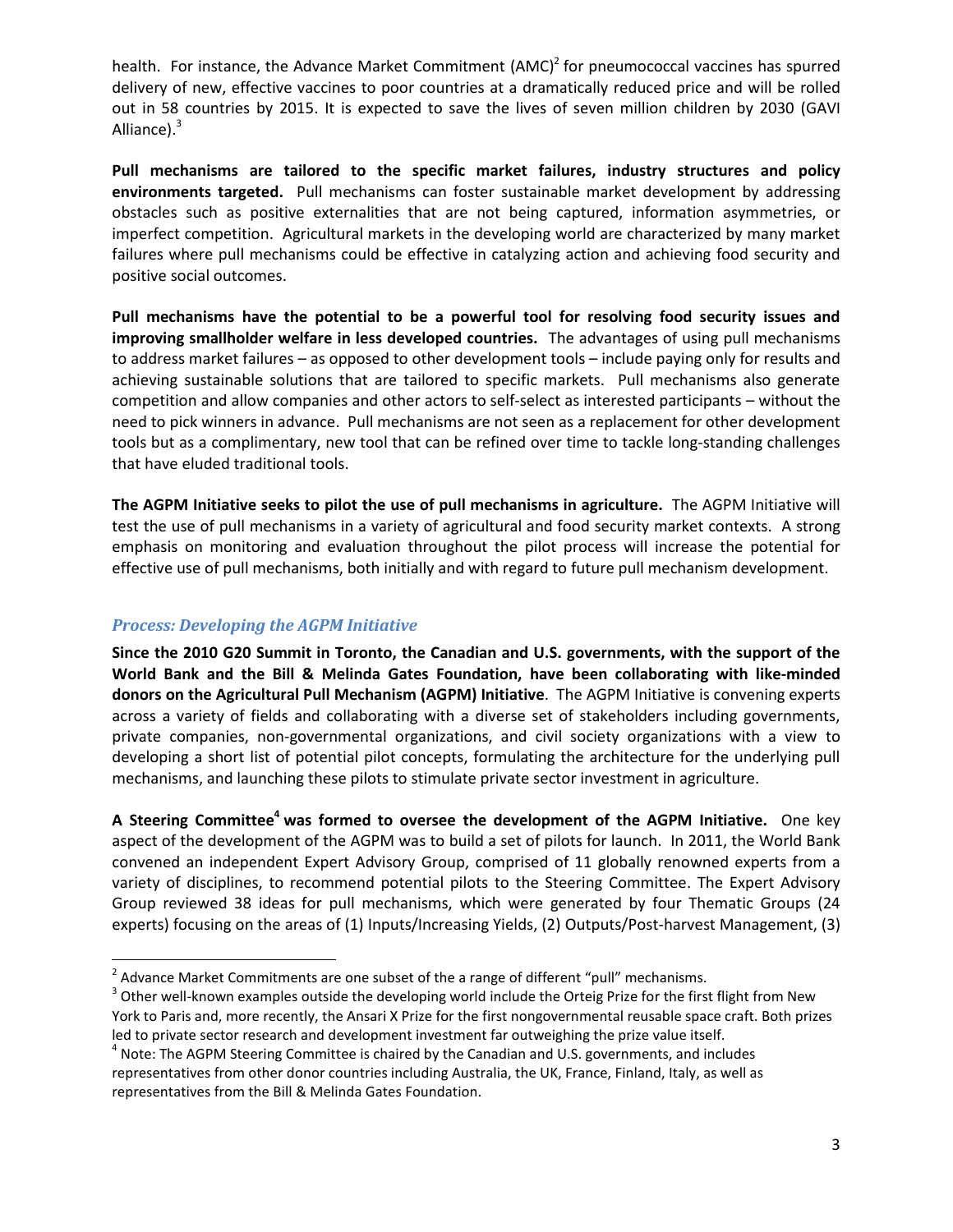health. For instance, the Advance Market Commitment (AMC)<sup>2</sup> for pneumococcal vaccines has spurred delivery of new, effective vaccines to poor countries at a dramatically reduced price and will be rolled out in 58 countries by 2015. It is expected to save the lives of seven million children by 2030 (GAVI Alliance).<sup>3</sup>

**Pull mechanisms are tailored to the specific market failures, industry structures and policy environments targeted.** Pull mechanisms can foster sustainable market development by addressing obstacles such as positive externalities that are not being captured, information asymmetries, or imperfect competition. Agricultural markets in the developing world are characterized by many market failures where pull mechanisms could be effective in catalyzing action and achieving food security and positive social outcomes.

**Pull mechanisms have the potential to be a powerful tool for resolving food security issues and improving smallholder welfare in less developed countries.** The advantages of using pull mechanisms to address market failures – as opposed to other development tools – include paying only for results and achieving sustainable solutions that are tailored to specific markets. Pull mechanisms also generate competition and allow companies and other actors to self-select as interested participants – without the need to pick winners in advance. Pull mechanisms are not seen as a replacement for other development tools but as a complimentary, new tool that can be refined over time to tackle long-standing challenges that have eluded traditional tools.

**The AGPM Initiative seeks to pilot the use of pull mechanisms in agriculture.** The AGPM Initiative will test the use of pull mechanisms in a variety of agricultural and food security market contexts. A strong emphasis on monitoring and evaluation throughout the pilot process will increase the potential for effective use of pull mechanisms, both initially and with regard to future pull mechanism development.

# *Process: Developing the AGPM Initiative*

 $\overline{\phantom{a}}$ 

**Since the 2010 G20 Summit in Toronto, the Canadian and U.S. governments, with the support of the World Bank and the Bill & Melinda Gates Foundation, have been collaborating with like-minded donors on the Agricultural Pull Mechanism (AGPM) Initiative**. The AGPM Initiative is convening experts across a variety of fields and collaborating with a diverse set of stakeholders including governments, private companies, non-governmental organizations, and civil society organizations with a view to developing a short list of potential pilot concepts, formulating the architecture for the underlying pull mechanisms, and launching these pilots to stimulate private sector investment in agriculture.

**A Steering Committee<sup>4</sup> was formed to oversee the development of the AGPM Initiative.** One key aspect of the development of the AGPM was to build a set of pilots for launch. In 2011, the World Bank convened an independent Expert Advisory Group, comprised of 11 globally renowned experts from a variety of disciplines, to recommend potential pilots to the Steering Committee. The Expert Advisory Group reviewed 38 ideas for pull mechanisms, which were generated by four Thematic Groups (24 experts) focusing on the areas of (1) Inputs/Increasing Yields, (2) Outputs/Post-harvest Management, (3)

 $^2$  Advance Market Commitments are one subset of the a range of different "pull" mechanisms.

 $^3$  Other well-known examples outside the developing world include the Orteig Prize for the first flight from New York to Paris and, more recently, the Ansari X Prize for the first nongovernmental reusable space craft. Both prizes led to private sector research and development investment far outweighing the prize value itself.

 $<sup>4</sup>$  Note: The AGPM Steering Committee is chaired by the Canadian and U.S. governments, and includes</sup> representatives from other donor countries including Australia, the UK, France, Finland, Italy, as well as representatives from the Bill & Melinda Gates Foundation.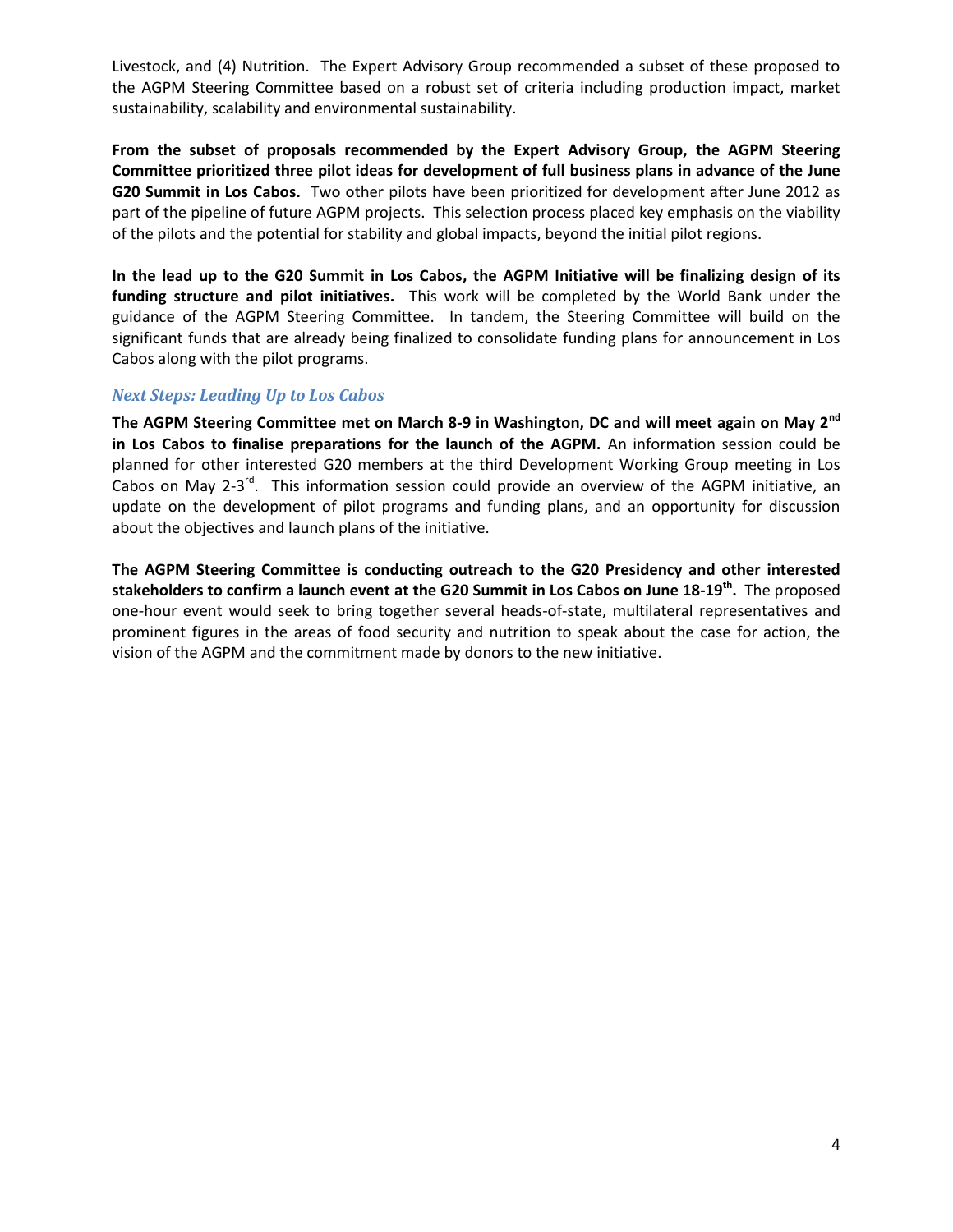Livestock, and (4) Nutrition. The Expert Advisory Group recommended a subset of these proposed to the AGPM Steering Committee based on a robust set of criteria including production impact, market sustainability, scalability and environmental sustainability.

**From the subset of proposals recommended by the Expert Advisory Group, the AGPM Steering Committee prioritized three pilot ideas for development of full business plans in advance of the June G20 Summit in Los Cabos.** Two other pilots have been prioritized for development after June 2012 as part of the pipeline of future AGPM projects. This selection process placed key emphasis on the viability of the pilots and the potential for stability and global impacts, beyond the initial pilot regions.

**In the lead up to the G20 Summit in Los Cabos, the AGPM Initiative will be finalizing design of its funding structure and pilot initiatives.** This work will be completed by the World Bank under the guidance of the AGPM Steering Committee. In tandem, the Steering Committee will build on the significant funds that are already being finalized to consolidate funding plans for announcement in Los Cabos along with the pilot programs.

### *Next Steps: Leading Up to Los Cabos*

**The AGPM Steering Committee met on March 8-9 in Washington, DC and will meet again on May 2nd in Los Cabos to finalise preparations for the launch of the AGPM.** An information session could be planned for other interested G20 members at the third Development Working Group meeting in Los Cabos on May 2-3<sup>rd</sup>. This information session could provide an overview of the AGPM initiative, an update on the development of pilot programs and funding plans, and an opportunity for discussion about the objectives and launch plans of the initiative.

**The AGPM Steering Committee is conducting outreach to the G20 Presidency and other interested stakeholders to confirm a launch event at the G20 Summit in Los Cabos on June 18-19th .** The proposed one-hour event would seek to bring together several heads-of-state, multilateral representatives and prominent figures in the areas of food security and nutrition to speak about the case for action, the vision of the AGPM and the commitment made by donors to the new initiative.